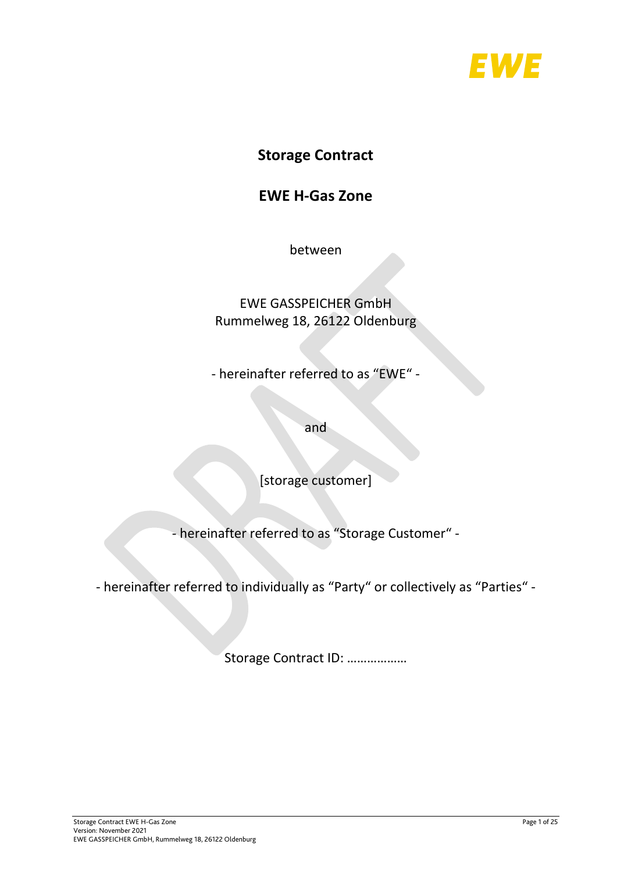

# **Storage Contract**

# **EWE H-Gas Zone**

between

# EWE GASSPEICHER GmbH Rummelweg 18, 26122 Oldenburg

- hereinafter referred to as "EWE" -

and

[storage customer]

- hereinafter referred to as "Storage Customer" -

- hereinafter referred to individually as "Party" or collectively as "Parties" -

Storage Contract ID: ………………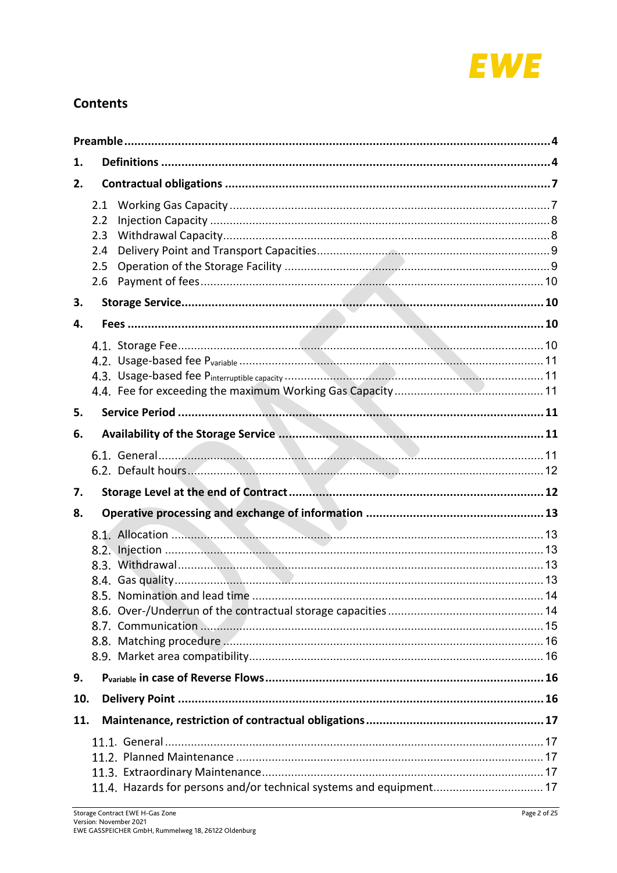

## **Contents**

| 1.  |                                        |                                                                     |  |
|-----|----------------------------------------|---------------------------------------------------------------------|--|
| 2.  |                                        |                                                                     |  |
|     | 2.1<br>2.2<br>2.3<br>2.4<br>2.5<br>2.6 |                                                                     |  |
| 3.  |                                        |                                                                     |  |
| 4.  |                                        |                                                                     |  |
|     |                                        |                                                                     |  |
| 5.  |                                        |                                                                     |  |
| 6.  |                                        |                                                                     |  |
|     |                                        |                                                                     |  |
| 7.  |                                        |                                                                     |  |
| 8.  |                                        |                                                                     |  |
|     |                                        |                                                                     |  |
| 9.  |                                        |                                                                     |  |
| 10. |                                        |                                                                     |  |
| 11. |                                        |                                                                     |  |
|     |                                        | 11.4. Hazards for persons and/or technical systems and equipment 17 |  |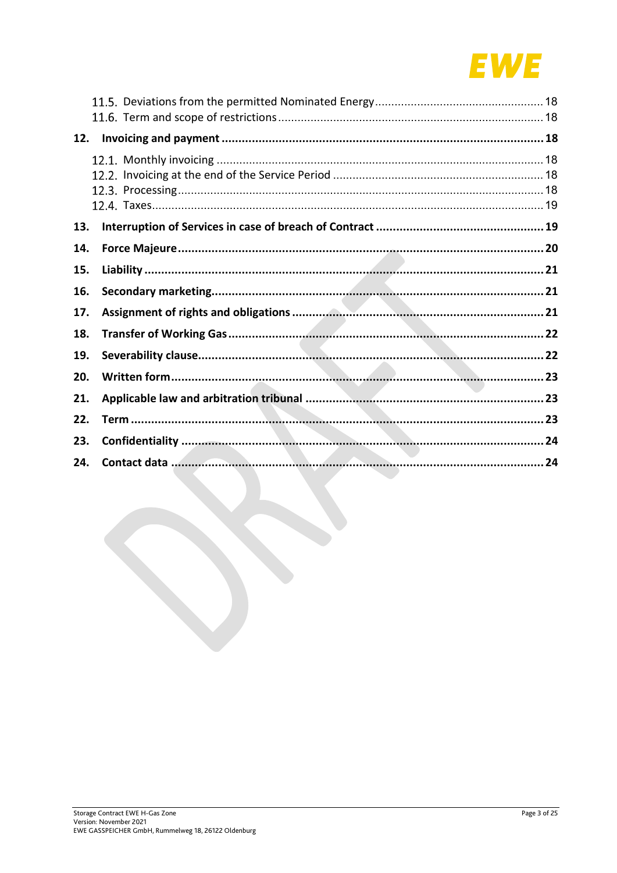

| 12. |  |
|-----|--|
|     |  |
|     |  |
|     |  |
|     |  |
| 13. |  |
| 14. |  |
| 15. |  |
| 16. |  |
| 17. |  |
| 18. |  |
| 19. |  |
| 20. |  |
| 21. |  |
| 22. |  |
| 23. |  |
| 24. |  |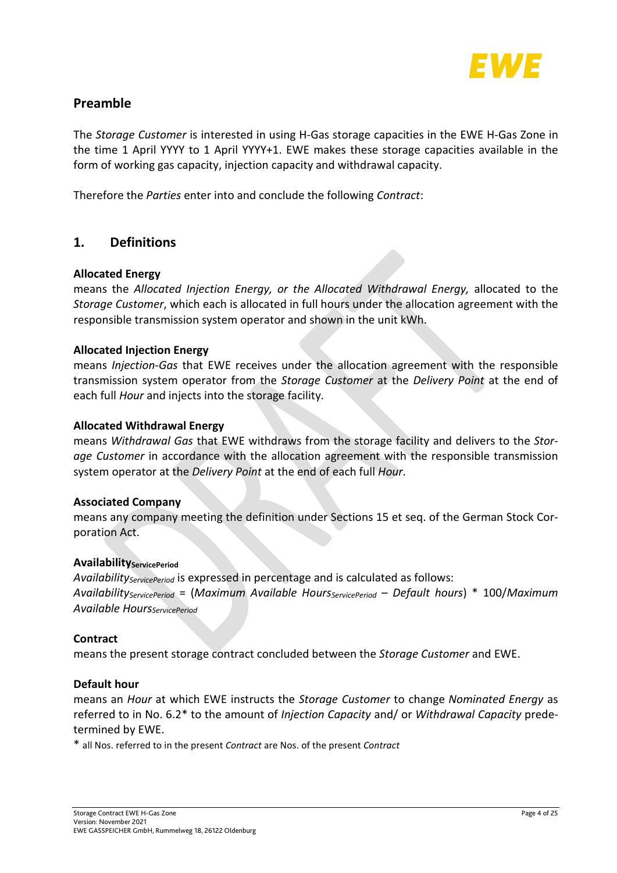

## <span id="page-3-0"></span>**Preamble**

The *Storage Customer* is interested in using H-Gas storage capacities in the EWE H-Gas Zone in the time 1 April YYYY to 1 April YYYY+1. EWE makes these storage capacities available in the form of working gas capacity, injection capacity and withdrawal capacity.

Therefore the *Parties* enter into and conclude the following *Contract*:

## <span id="page-3-1"></span>**1. Definitions**

### **Allocated Energy**

means the *Allocated Injection Energy, or the Allocated Withdrawal Energy,* allocated to the *Storage Customer*, which each is allocated in full hours under the allocation agreement with the responsible transmission system operator and shown in the unit kWh.

### **Allocated Injection Energy**

means *Injection-Gas* that EWE receives under the allocation agreement with the responsible transmission system operator from the *Storage Customer* at the *Delivery Point* at the end of each full *Hour* and injects into the storage facility.

### **Allocated Withdrawal Energy**

means *Withdrawal Gas* that EWE withdraws from the storage facility and delivers to the *Storage Customer* in accordance with the allocation agreement with the responsible transmission system operator at the *Delivery Point* at the end of each full *Hour*.

### **Associated Company**

means any company meeting the definition under Sections 15 et seq. of the German Stock Corporation Act.

### **AvailabilityServicePeriod**

*AvailabilityServicePeriod* is expressed in percentage and is calculated as follows: *AvailabilityServicePeriod* = (*Maximum Available HoursServicePeriod* – *Default hours*) \* 100/*Maximum Available HoursServicePeriod*

### **Contract**

means the present storage contract concluded between the *Storage Customer* and EWE.

### **Default hour**

means an *Hour* at which EWE instructs the *Storage Customer* to change *Nominated Energy* as referred to in No. [6.2\\*](#page-11-0) to the amount of *Injection Capacity* and/ or *Withdrawal Capacity* predetermined by EWE.

\* all Nos. referred to in the present *Contract* are Nos. of the present *Contract*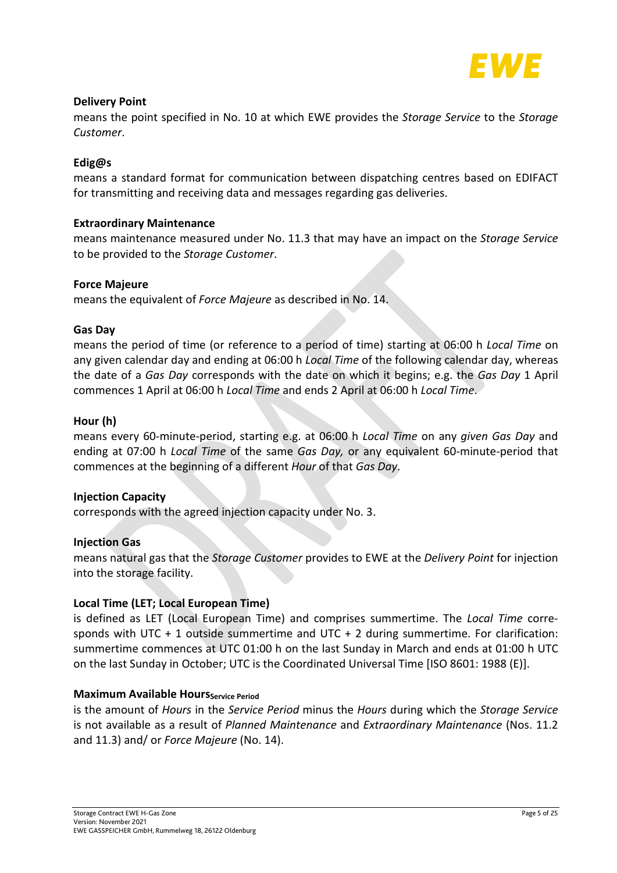

### **Delivery Point**

means the point specified in No. [10](#page-15-3) at which EWE provides the *Storage Service* to the *Storage Customer*.

### **Edig@s**

means a standard format for communication between dispatching centres based on EDIFACT for transmitting and receiving data and messages regarding gas deliveries.

### **Extraordinary Maintenance**

means maintenance measured under No. [11.3](#page-16-3) that may have an impact on the *Storage Service*  to be provided to the *Storage Customer*.

### **Force Majeure**

means the equivalent of *Force Majeure* as described in No. [14.](#page-19-0)

### **Gas Day**

means the period of time (or reference to a period of time) starting at 06:00 h *Local Time* on any given calendar day and ending at 06:00 h *Local Time* of the following calendar day, whereas the date of a *Gas Day* corresponds with the date on which it begins; e.g. the *Gas Day* 1 April commences 1 April at 06:00 h *Local Time* and ends 2 April at 06:00 h *Local Time*.

### **Hour (h)**

means every 60-minute-period, starting e.g. at 06:00 h *Local Time* on any *given Gas Day* and ending at 07:00 h *Local Time* of the same *Gas Day,* or any equivalent 60-minute-period that commences at the beginning of a different *Hour* of that *Gas Day*.

### **Injection Capacity**

corresponds with the agreed injection capacity under No. [3.](#page-9-1)

### **Injection Gas**

means natural gas that the *Storage Customer* provides to EWE at the *Delivery Point* for injection into the storage facility.

### **Local Time (LET; Local European Time)**

is defined as LET (Local European Time) and comprises summertime. The *Local Time* corresponds with UTC  $+1$  outside summertime and UTC  $+2$  during summertime. For clarification: summertime commences at UTC 01:00 h on the last Sunday in March and ends at 01:00 h UTC on the last Sunday in October; UTC is the Coordinated Universal Time [ISO 8601: 1988 (E)].

### **Maximum Available Hours** Service Period

is the amount of *Hours* in the *Service Period* minus the *Hours* during which the *Storage Service* is not available as a result of *Planned Maintenance* and *Extraordinary Maintenance* (Nos. [11.2](#page-16-2) and [11.3\)](#page-16-3) and/ or *Force Majeure* (No. [14\)](#page-19-0).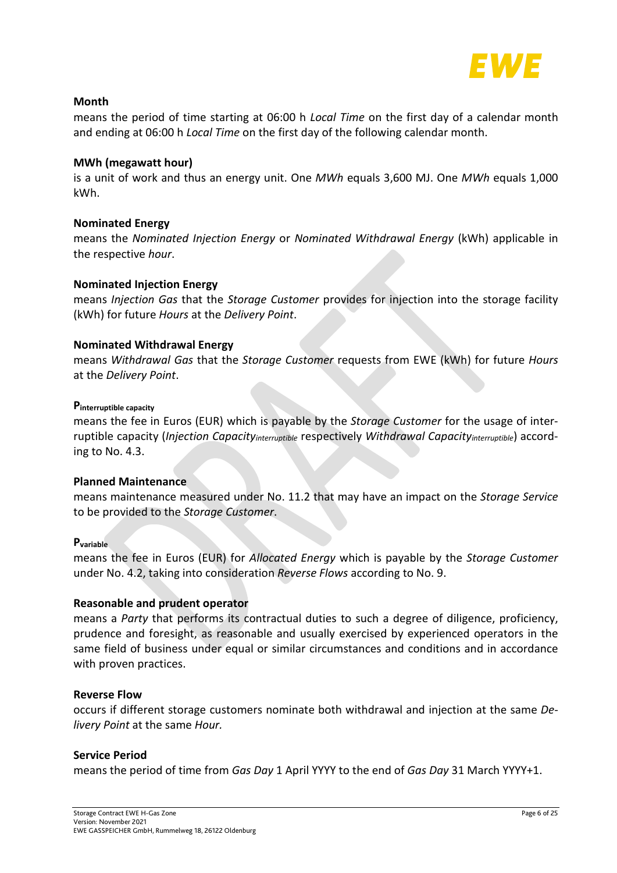

### **Month**

means the period of time starting at 06:00 h *Local Time* on the first day of a calendar month and ending at 06:00 h *Local Time* on the first day of the following calendar month.

### **MWh (megawatt hour)**

is a unit of work and thus an energy unit. One *MWh* equals 3,600 MJ. One *MWh* equals 1,000 kWh.

### **Nominated Energy**

means the *Nominated Injection Energy* or *Nominated Withdrawal Energy* (kWh) applicable in the respective *hour*.

### **Nominated Injection Energy**

means *Injection Gas* that the *Storage Customer* provides for injection into the storage facility (kWh) for future *Hours* at the *Delivery Point*.

### **Nominated Withdrawal Energy**

means *Withdrawal Gas* that the *Storage Customer* requests from EWE (kWh) for future *Hours* at the *Delivery Point*.

### **Pinterruptible capacity**

means the fee in Euros (EUR) which is payable by the *Storage Customer* for the usage of interruptible capacity (*Injection Capacityinterruptible* respectively *Withdrawal Capacityinterruptible*) according to No. [4.3.](#page-10-1)

### **Planned Maintenance**

means maintenance measured under No. [11.2](#page-16-2) that may have an impact on the *Storage Service*  to be provided to the *Storage Customer*.

### **Pvariable**

means the fee in Euros (EUR) for *Allocated Energy* which is payable by the *Storage Customer*  under No. [4.2,](#page-10-0) taking into consideration *Reverse Flows* according to No. [9.](#page-15-2)

### **Reasonable and prudent operator**

means a *Party* that performs its contractual duties to such a degree of diligence, proficiency, prudence and foresight, as reasonable and usually exercised by experienced operators in the same field of business under equal or similar circumstances and conditions and in accordance with proven practices.

### **Reverse Flow**

occurs if different storage customers nominate both withdrawal and injection at the same *Delivery Point* at the same *Hour.* 

### **Service Period**

means the period of time from *Gas Day* 1 April YYYY to the end of *Gas Day* 31 March YYYY+1.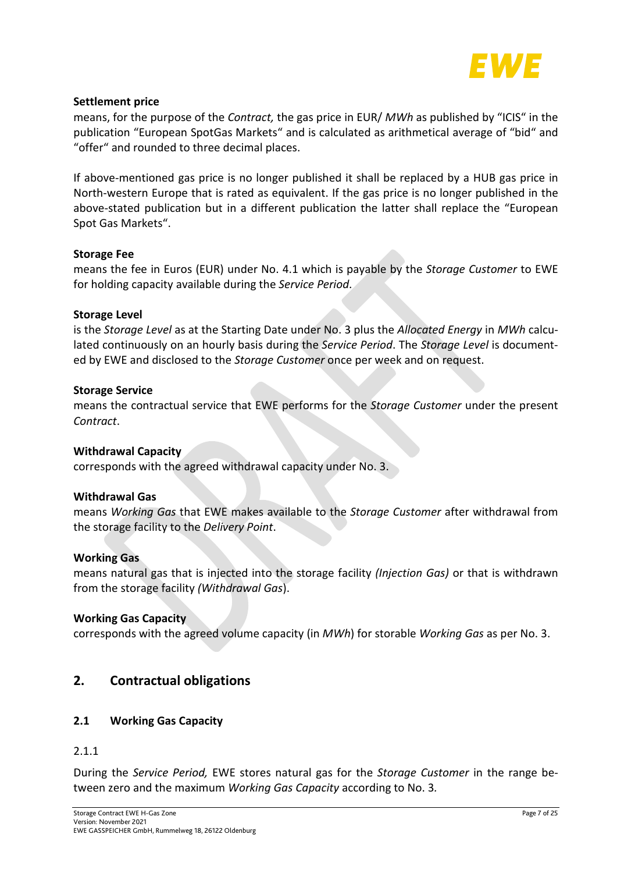

### **Settlement price**

means, for the purpose of the *Contract,* the gas price in EUR/ *MWh* as published by "ICIS" in the publication "European SpotGas Markets" and is calculated as arithmetical average of "bid" and "offer" and rounded to three decimal places.

If above-mentioned gas price is no longer published it shall be replaced by a HUB gas price in North-western Europe that is rated as equivalent. If the gas price is no longer published in the above-stated publication but in a different publication the latter shall replace the "European Spot Gas Markets".

### **Storage Fee**

means the fee in Euros (EUR) under No. [4.1](#page-9-3) which is payable by the *Storage Customer* to EWE for holding capacity available during the *Service Period*.

### **Storage Level**

is the *Storage Level* as at the Starting Date under No. [3](#page-9-1) plus the *Allocated Energy* in *MWh* calculated continuously on an hourly basis during the *Service Period*. The *Storage Level* is documented by EWE and disclosed to the *Storage Customer* once per week and on request.

### **Storage Service**

means the contractual service that EWE performs for the *Storage Customer* under the present *Contract*.

### **Withdrawal Capacity**

corresponds with the agreed withdrawal capacity under No. [3.](#page-9-1)

### **Withdrawal Gas**

means *Working Gas* that EWE makes available to the *Storage Customer* after withdrawal from the storage facility to the *Delivery Point*.

### **Working Gas**

means natural gas that is injected into the storage facility *(Injection Gas)* or that is withdrawn from the storage facility *(Withdrawal Gas*).

### **Working Gas Capacity**

corresponds with the agreed volume capacity (in *MWh*) for storable *Working Gas* as per No. [3.](#page-9-1)

## <span id="page-6-0"></span>**2. Contractual obligations**

### <span id="page-6-1"></span>**2.1 Working Gas Capacity**

### 2.1.1

During the *Service Period,* EWE stores natural gas for the *Storage Customer* in the range between zero and the maximum *Working Gas Capacity* according to No. [3](#page-9-1)*.*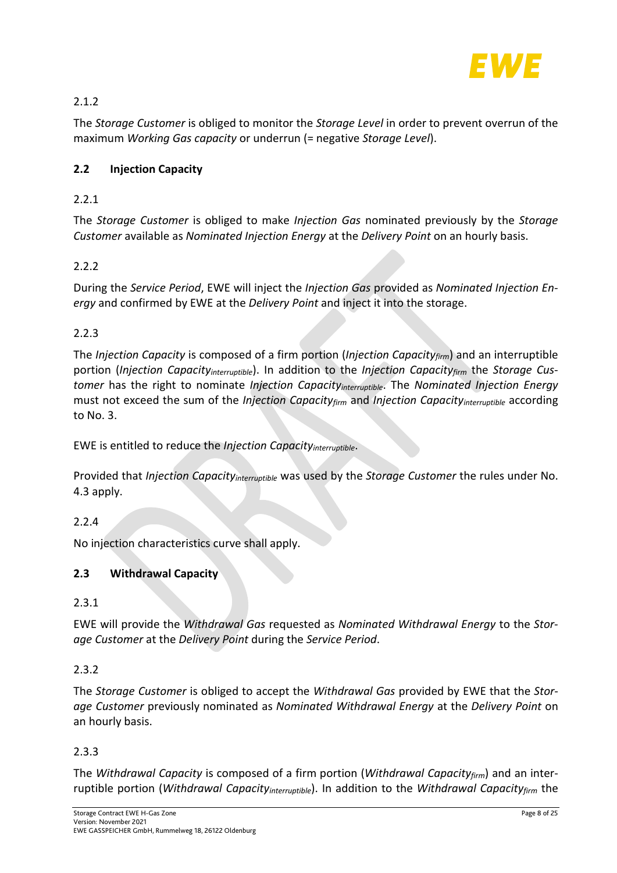

## 2.1.2

The *Storage Customer* is obliged to monitor the *Storage Level* in order to prevent overrun of the maximum *Working Gas capacity* or underrun (= negative *Storage Level*).

## <span id="page-7-0"></span>**2.2 Injection Capacity**

## 2.2.1

The *Storage Customer* is obliged to make *Injection Gas* nominated previously by the *Storage Customer* available as *Nominated Injection Energy* at the *Delivery Point* on an hourly basis.

## 2.2.2

During the *Service Period*, EWE will inject the *Injection Gas* provided as *Nominated Injection Energy* and confirmed by EWE at the *Delivery Point* and inject it into the storage.

## <span id="page-7-2"></span>2.2.3

The *Injection Capacity* is composed of a firm portion (*Injection Capacityfirm*) and an interruptible portion (*Injection Capacityinterruptible*). In addition to the *Injection Capacityfirm* the *Storage Customer* has the right to nominate *Injection Capacityinterruptible*. The *Nominated Injection Energy* must not exceed the sum of the *Injection Capacityfirm* and *Injection Capacityinterruptible* according to No. [3.](#page-9-1)

EWE is entitled to reduce the *Injection Capacityinterruptible*.

Provided that *Injection Capacityinterruptible* was used by the *Storage Customer* the rules under No. [4.3](#page-10-1) apply.

## 2.2.4

No injection characteristics curve shall apply.

## <span id="page-7-1"></span>**2.3 Withdrawal Capacity**

## 2.3.1

EWE will provide the *Withdrawal Gas* requested as *Nominated Withdrawal Energy* to the *Storage Customer* at the *Delivery Point* during the *Service Period*.

## 2.3.2

The *Storage Customer* is obliged to accept the *Withdrawal Gas* provided by EWE that the *Storage Customer* previously nominated as *Nominated Withdrawal Energy* at the *Delivery Point* on an hourly basis.

## <span id="page-7-3"></span>2.3.3

The *Withdrawal Capacity* is composed of a firm portion (*Withdrawal Capacityfirm*) and an interruptible portion (*Withdrawal Capacityinterruptible*). In addition to the *Withdrawal Capacityfirm* the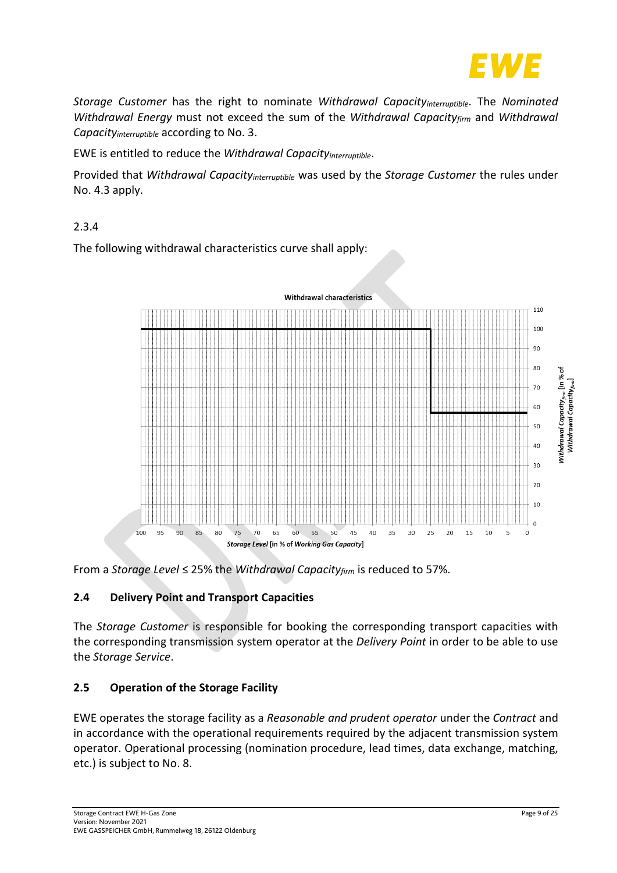

*Storage Customer* has the right to nominate *Withdrawal Capacityinterruptible*. The *Nominated Withdrawal Energy* must not exceed the sum of the *Withdrawal Capacityfirm* and *Withdrawal Capacityinterruptible* according to No. [3.](#page-9-1)

EWE is entitled to reduce the *Withdrawal Capacityinterruptible*.

Provided that *Withdrawal Capacityinterruptible* was used by the *Storage Customer* the rules under No[. 4.3](#page-10-1) apply.

## <span id="page-8-2"></span>2.3.4

The following withdrawal characteristics curve shall apply:



<span id="page-8-0"></span>From a *Storage Level* ≤ 25% the *Withdrawal Capacityfirm* is reduced to 57%.

## **2.4 Delivery Point and Transport Capacities**

The *Storage Customer* is responsible for booking the corresponding transport capacities with the corresponding transmission system operator at the *Delivery Point* in order to be able to use the *Storage Service*.

## <span id="page-8-1"></span>**2.5 Operation of the Storage Facility**

EWE operates the storage facility as a *Reasonable and prudent operator* under the *Contract* and in accordance with the operational requirements required by the adjacent transmission system operator. Operational processing (nomination procedure, lead times, data exchange, matching, etc.) is subject to No. [8.](#page-12-0)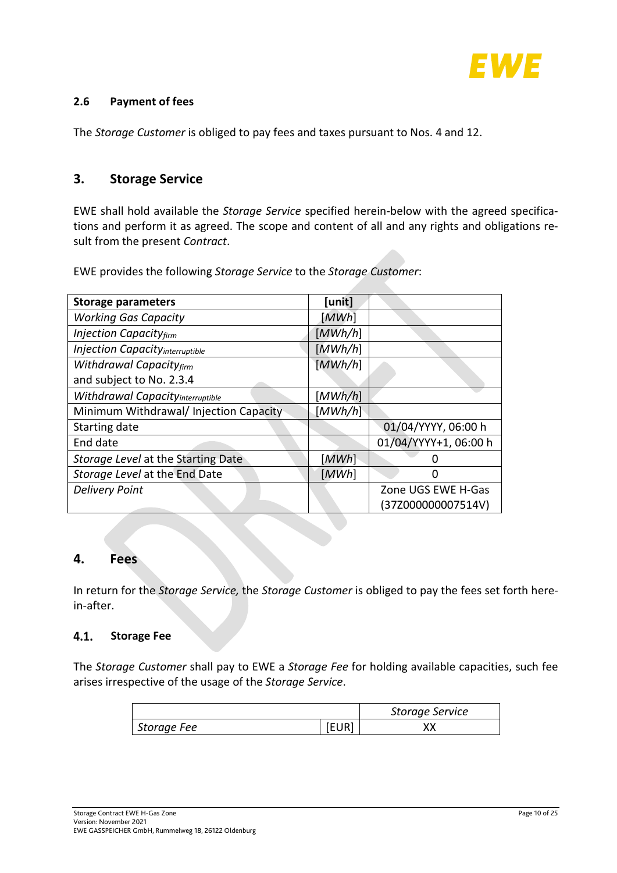

### <span id="page-9-0"></span>**2.6 Payment of fees**

The *Storage Customer* is obliged to pay fees and taxes pursuant to Nos. [4](#page-9-2) and [12.](#page-17-2)

## <span id="page-9-1"></span>**3. Storage Service**

EWE shall hold available the *Storage Service* specified herein-below with the agreed specifications and perform it as agreed. The scope and content of all and any rights and obligations result from the present *Contract*.

EWE provides the following *Storage Service* to the *Storage Customer*:

| <b>Storage parameters</b>                | [unit]  |                       |
|------------------------------------------|---------|-----------------------|
| <b>Working Gas Capacity</b>              | [MWh]   |                       |
| <b>Injection Capacityfirm</b>            | [MWh/h] |                       |
| <b>Injection Capacity</b> interruptible  | [MWh/h] |                       |
| <b>Withdrawal Capacityfirm</b>           | [MWh/h] |                       |
| and subject to No. 2.3.4                 |         |                       |
| <b>Withdrawal Capacity</b> interruptible | [MWh/h] |                       |
| Minimum Withdrawal/ Injection Capacity   | [MWh/h] |                       |
| Starting date                            |         | 01/04/YYYY, 06:00 h   |
| End date                                 |         | 01/04/YYYY+1, 06:00 h |
| Storage Level at the Starting Date       | [MWh]   |                       |
| Storage Level at the End Date            | [MWh]   |                       |
| <b>Delivery Point</b>                    |         | Zone UGS EWE H-Gas    |
|                                          |         | (37Z000000007514V)    |

## <span id="page-9-2"></span>**4. Fees**

In return for the *Storage Service,* the *Storage Customer* is obliged to pay the fees set forth herein-after.

#### <span id="page-9-3"></span> $4.1.$ **Storage Fee**

The *Storage Customer* shall pay to EWE a *Storage Fee* for holding available capacities, such fee arises irrespective of the usage of the *Storage Service*.

|             | <b>Storage Service</b> |
|-------------|------------------------|
| Storage Fee |                        |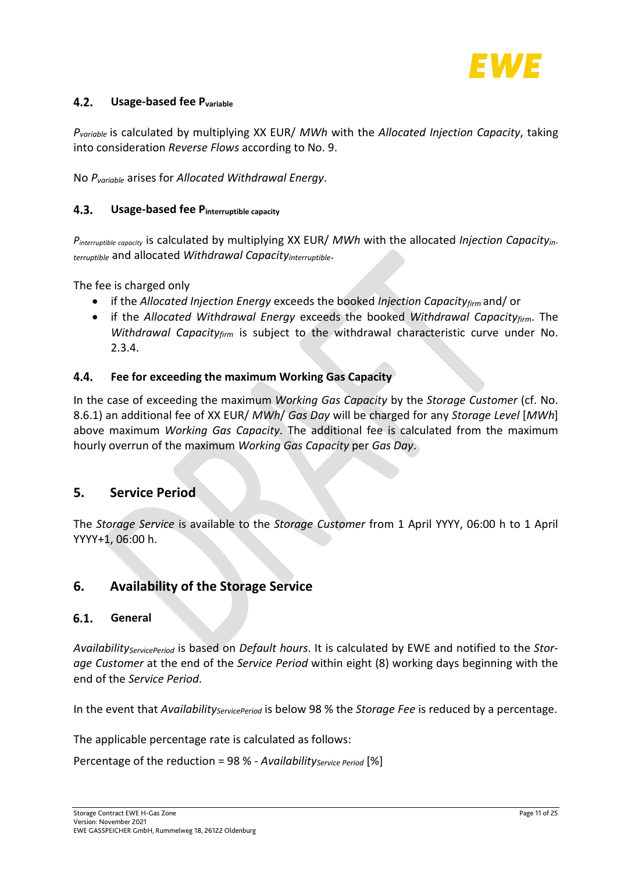

#### <span id="page-10-0"></span> $4.2.$ **Usage-based fee Pvariable**

*Pvariable* is calculated by multiplying XX EUR/ *MWh* with the *Allocated Injection Capacity*, taking into consideration *Reverse Flows* according to No. [9.](#page-15-2)

No *Pvariable* arises for *Allocated Withdrawal Energy*.

#### <span id="page-10-1"></span> $4.3.$ **Usage-based fee Pinterruptible capacity**

*Pinterruptible capacity* is calculated by multiplying XX EUR/ *MWh* with the allocated *Injection Capacityinterruptible* and allocated *Withdrawal Capacityinterruptible*.

The fee is charged only

- if the *Allocated Injection Energy* exceeds the booked *Injection Capacityfirm* and/ or
- if the *Allocated Withdrawal Energy* exceeds the booked *Withdrawal Capacityfirm*. The *Withdrawal Capacityfirm* is subject to the withdrawal characteristic curve under No. [2.3.4.](#page-8-2)

#### <span id="page-10-2"></span>4.4. **Fee for exceeding the maximum Working Gas Capacity**

In the case of exceeding the maximum *Working Gas Capacity* by the *Storage Customer* (cf. No. [8.6.1\)](#page-13-2) an additional fee of XX EUR/ *MWh*/ *Gas Day* will be charged for any *Storage Level* [*MWh*] above maximum *Working Gas Capacity*. The additional fee is calculated from the maximum hourly overrun of the maximum *Working Gas Capacity* per *Gas Day*.

## <span id="page-10-3"></span>**5. Service Period**

The *Storage Service* is available to the *Storage Customer* from 1 April YYYY, 06:00 h to 1 April YYYY+1, 06:00 h.

## <span id="page-10-4"></span>**6. Availability of the Storage Service**

#### <span id="page-10-5"></span>**General**  $6.1.$

*AvailabilityServicePeriod* is based on *Default hours*. It is calculated by EWE and notified to the *Storage Customer* at the end of the *Service Period* within eight (8) working days beginning with the end of the *Service Period*.

In the event that *Availability<sub>ServicePeriod* is below 98 % the *Storage Fee* is reduced by a percentage.</sub>

The applicable percentage rate is calculated as follows:

Percentage of the reduction = 98 % - *Availability<sub>Service Period* [%]</sub>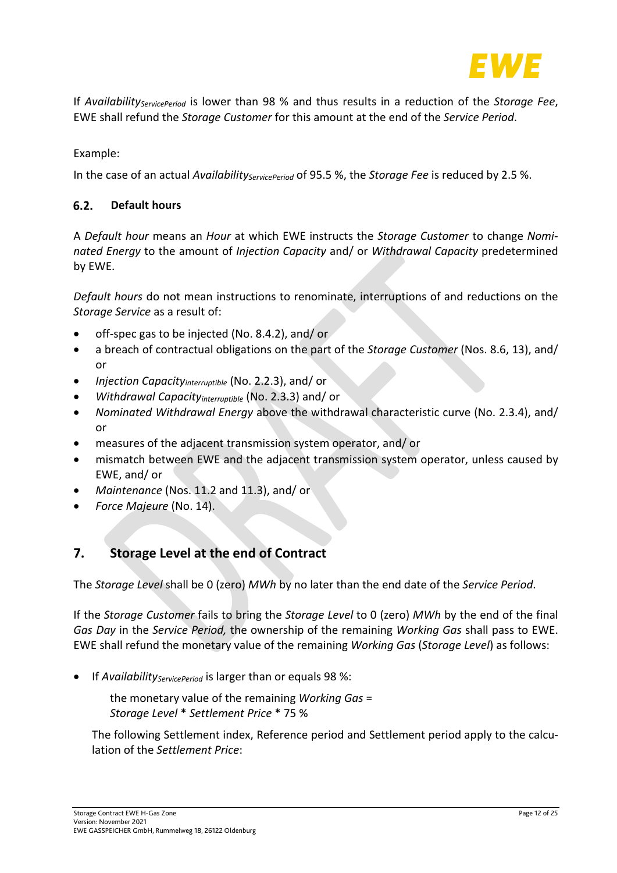

If *Availability<sub>ServicePeriod* is lower than 98 % and thus results in a reduction of the *Storage Fee*,</sub> EWE shall refund the *Storage Customer* for this amount at the end of the *Service Period*.

Example:

In the case of an actual *Availability<sub>ServicePeriod* of 95.5 %, the *Storage Fee* is reduced by 2.5 %.</sub>

#### <span id="page-11-0"></span> $6.2.$ **Default hours**

A *Default hour* means an *Hour* at which EWE instructs the *Storage Customer* to change *Nominated Energy* to the amount of *Injection Capacity* and/ or *Withdrawal Capacity* predetermined by EWE.

*Default hours* do not mean instructions to renominate, interruptions of and reductions on the *Storage Service* as a result of:

- off-spec gas to be injected (No[. 8.4.2\)](#page-12-5), and/ or
- a breach of contractual obligations on the part of the *Storage Customer* (Nos. [8.6,](#page-13-1) [13\)](#page-18-1), and/ or
- *Injection Capacityinterruptible* (No. [2.2.3\)](#page-7-2), and/ or
- *Withdrawal Capacityinterruptible* (No. [2.3.3\)](#page-7-3) and/ or
- *Nominated Withdrawal Energy* above the withdrawal characteristic curve (No. [2.3.4\)](#page-8-2), and/ or
- measures of the adjacent transmission system operator, and/ or
- mismatch between EWE and the adjacent transmission system operator, unless caused by EWE, and/ or
- *Maintenance* (Nos. [11.2](#page-16-2) and [11.3\)](#page-16-3), and/ or
- *Force Majeure* (No[. 14\)](#page-19-0).

## <span id="page-11-1"></span>**7. Storage Level at the end of Contract**

The *Storage Level* shall be 0 (zero) *MWh* by no later than the end date of the *Service Period*.

If the *Storage Customer* fails to bring the *Storage Level* to 0 (zero) *MWh* by the end of the final *Gas Day* in the *Service Period,* the ownership of the remaining *Working Gas* shall pass to EWE. EWE shall refund the monetary value of the remaining *Working Gas* (*Storage Level*) as follows:

If *Availability<sub>ServicePeriod* is larger than or equals 98 %:</sub>

the monetary value of the remaining *Working Gas* = *Storage Level* \* *Settlement Price* \* 75 %

The following Settlement index, Reference period and Settlement period apply to the calculation of the *Settlement Price*: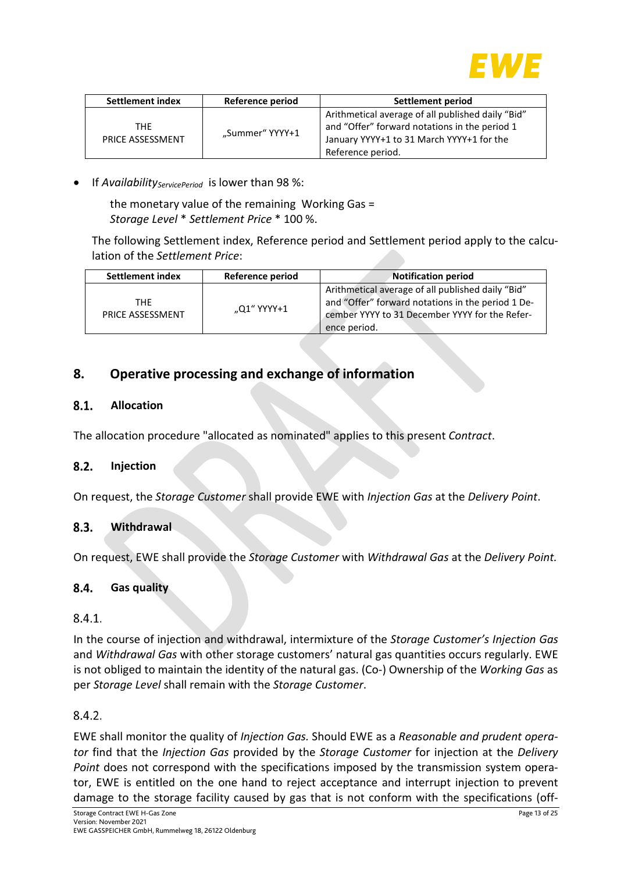

| <b>Settlement index</b>  | Reference period | Settlement period                                                                                                                                                    |
|--------------------------|------------------|----------------------------------------------------------------------------------------------------------------------------------------------------------------------|
| THF.<br>PRICE ASSESSMENT | "Summer" YYYY+1  | Arithmetical average of all published daily "Bid"<br>and "Offer" forward notations in the period 1<br>January YYYY+1 to 31 March YYYY+1 for the<br>Reference period. |

If *Availability<sub>ServicePeriod* is lower than 98 %:</sub>

the monetary value of the remaining Working Gas = *Storage Level* \* *Settlement Price* \* 100 %.

The following Settlement index, Reference period and Settlement period apply to the calculation of the *Settlement Price*:

| <b>Settlement index</b> | Reference period | <b>Notification period</b>                                                                                                                                               |
|-------------------------|------------------|--------------------------------------------------------------------------------------------------------------------------------------------------------------------------|
| THF<br>PRICE ASSESSMENT | "Q1" YYYY+1      | Arithmetical average of all published daily "Bid"<br>and "Offer" forward notations in the period 1 De-<br>cember YYYY to 31 December YYYY for the Refer-<br>ence period. |

## <span id="page-12-0"></span>**8. Operative processing and exchange of information**

#### <span id="page-12-1"></span> $8.1.$ **Allocation**

The allocation procedure "allocated as nominated" applies to this present *Contract*.

#### <span id="page-12-2"></span> $8.2.$ **Injection**

On request, the *Storage Customer* shall provide EWE with *Injection Gas* at the *Delivery Point*.

#### <span id="page-12-3"></span> $8.3.$ **Withdrawal**

On request, EWE shall provide the *Storage Customer* with *Withdrawal Gas* at the *Delivery Point.*

#### <span id="page-12-4"></span> $8.4.$ **Gas quality**

### $8.4.1.$

In the course of injection and withdrawal, intermixture of the *Storage Customer's Injection Gas*  and *Withdrawal Gas* with other storage customers' natural gas quantities occurs regularly. EWE is not obliged to maintain the identity of the natural gas. (Co-) Ownership of the *Working Gas* as per *Storage Level* shall remain with the *Storage Customer*.

### <span id="page-12-5"></span> $8.4.2.$

EWE shall monitor the quality of *Injection Gas.* Should EWE as a *Reasonable and prudent operator* find that the *Injection Gas* provided by the *Storage Customer* for injection at the *Delivery Point* does not correspond with the specifications imposed by the transmission system operator, EWE is entitled on the one hand to reject acceptance and interrupt injection to prevent damage to the storage facility caused by gas that is not conform with the specifications (off-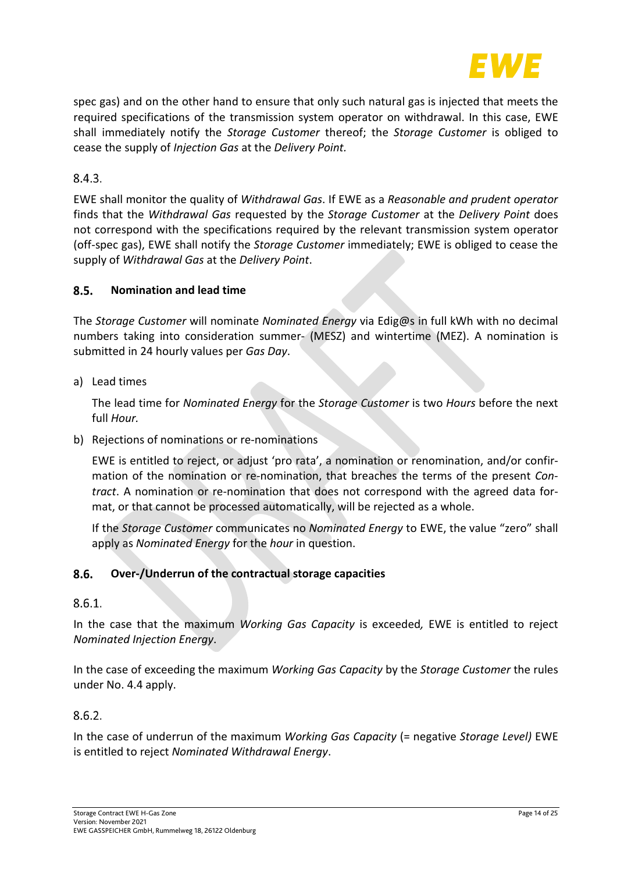

spec gas) and on the other hand to ensure that only such natural gas is injected that meets the required specifications of the transmission system operator on withdrawal. In this case, EWE shall immediately notify the *Storage Customer* thereof; the *Storage Customer* is obliged to cease the supply of *Injection Gas* at the *Delivery Point.*

8.4.3.

EWE shall monitor the quality of *Withdrawal Gas*. If EWE as a *Reasonable and prudent operator*  finds that the *Withdrawal Gas* requested by the *Storage Customer* at the *Delivery Point* does not correspond with the specifications required by the relevant transmission system operator (off-spec gas), EWE shall notify the *Storage Customer* immediately; EWE is obliged to cease the supply of *Withdrawal Gas* at the *Delivery Point*.

#### <span id="page-13-0"></span> $8.5.$ **Nomination and lead time**

The *Storage Customer* will nominate *Nominated Energy* via Edig@s in full kWh with no decimal numbers taking into consideration summer- (MESZ) and wintertime (MEZ). A nomination is submitted in 24 hourly values per *Gas Day*.

a) Lead times

The lead time for *Nominated Energy* for the *Storage Customer* is two *Hours* before the next full *Hour.*

b) Rejections of nominations or re-nominations

EWE is entitled to reject, or adjust 'pro rata', a nomination or renomination, and/or confirmation of the nomination or re-nomination, that breaches the terms of the present *Contract*. A nomination or re-nomination that does not correspond with the agreed data format, or that cannot be processed automatically, will be rejected as a whole.

If the *Storage Customer* communicates no *Nominated Energy* to EWE, the value "zero" shall apply as *Nominated Energy* for the *hour* in question.

#### <span id="page-13-1"></span> $8.6.$ **Over-/Underrun of the contractual storage capacities**

### <span id="page-13-2"></span> $8.6.1.$

In the case that the maximum *Working Gas Capacity* is exceeded*,* EWE is entitled to reject *Nominated Injection Energy*.

In the case of exceeding the maximum *Working Gas Capacity* by the *Storage Customer* the rules under No. [4.4](#page-10-2) apply.

## $8.6.2.$

In the case of underrun of the maximum *Working Gas Capacity* (= negative *Storage Level)* EWE is entitled to reject *Nominated Withdrawal Energy*.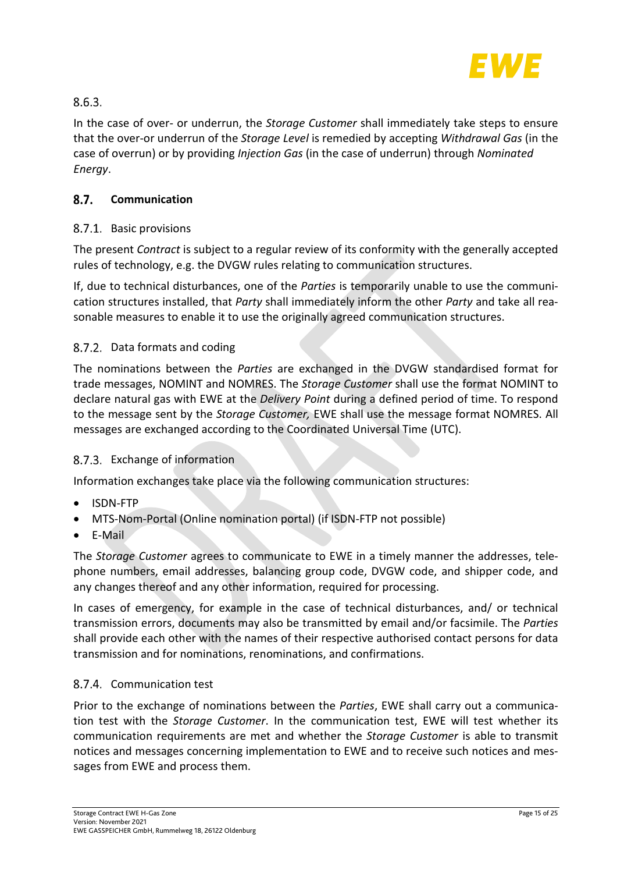

## $8.6.3.$

In the case of over- or underrun, the *Storage Customer* shall immediately take steps to ensure that the over-or underrun of the *Storage Level* is remedied by accepting *Withdrawal Gas* (in the case of overrun) or by providing *Injection Gas* (in the case of underrun) through *Nominated Energy*.

#### <span id="page-14-0"></span> $8.7.$ **Communication**

## 8.7.1. Basic provisions

The present *Contract* is subject to a regular review of its conformity with the generally accepted rules of technology, e.g. the DVGW rules relating to communication structures.

If, due to technical disturbances, one of the *Parties* is temporarily unable to use the communication structures installed, that *Party* shall immediately inform the other *Party* and take all reasonable measures to enable it to use the originally agreed communication structures.

## 8.7.2. Data formats and coding

The nominations between the *Parties* are exchanged in the DVGW standardised format for trade messages, NOMINT and NOMRES. The *Storage Customer* shall use the format NOMINT to declare natural gas with EWE at the *Delivery Point* during a defined period of time. To respond to the message sent by the *Storage Customer,* EWE shall use the message format NOMRES. All messages are exchanged according to the Coordinated Universal Time (UTC).

## 8.7.3. Exchange of information

Information exchanges take place via the following communication structures:

- ISDN-FTP
- MTS-Nom-Portal (Online nomination portal) (if ISDN-FTP not possible)
- E-Mail

The *Storage Customer* agrees to communicate to EWE in a timely manner the addresses, telephone numbers, email addresses, balancing group code, DVGW code, and shipper code, and any changes thereof and any other information, required for processing.

In cases of emergency, for example in the case of technical disturbances, and/ or technical transmission errors, documents may also be transmitted by email and/or facsimile. The *Parties*  shall provide each other with the names of their respective authorised contact persons for data transmission and for nominations, renominations, and confirmations.

## 8.7.4. Communication test

Prior to the exchange of nominations between the *Parties*, EWE shall carry out a communication test with the *Storage Customer*. In the communication test, EWE will test whether its communication requirements are met and whether the *Storage Customer* is able to transmit notices and messages concerning implementation to EWE and to receive such notices and messages from EWE and process them.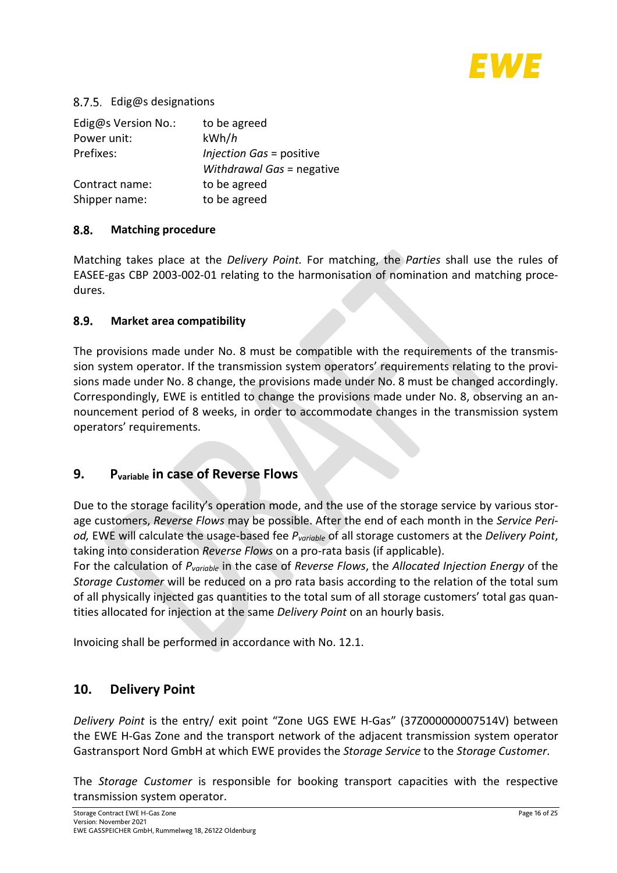

## 8.7.5. Edig@s designations

| Edig@s Version No.: | to be agreed              |
|---------------------|---------------------------|
| Power unit:         | kWh/h                     |
| Prefixes:           | Injection Gas = positive  |
|                     | Withdrawal Gas = negative |
| Contract name:      | to be agreed              |
| Shipper name:       | to be agreed              |

#### <span id="page-15-0"></span>8.8. **Matching procedure**

Matching takes place at the *Delivery Point.* For matching, the *Parties* shall use the rules of EASEE-gas CBP 2003-002-01 relating to the harmonisation of nomination and matching procedures.

#### <span id="page-15-1"></span> $8.9.$ **Market area compatibility**

The provisions made under No. [8](#page-12-0) must be compatible with the requirements of the transmission system operator. If the transmission system operators' requirements relating to the provisions made under No. [8](#page-12-0) change, the provisions made under No. [8](#page-12-0) must be changed accordingly. Correspondingly, EWE is entitled to change the provisions made under No. [8,](#page-12-0) observing an announcement period of 8 weeks, in order to accommodate changes in the transmission system operators' requirements.

## <span id="page-15-2"></span>**9. Pvariable in case of Reverse Flows**

Due to the storage facility's operation mode, and the use of the storage service by various storage customers, *Reverse Flows* may be possible. After the end of each month in the *Service Period,* EWE will calculate the usage-based fee *Pvariable* of all storage customers at the *Delivery Point*, taking into consideration *Reverse Flows* on a pro-rata basis (if applicable).

For the calculation of *Pvariable* in the case of *Reverse Flows*, the *Allocated Injection Energy* of the *Storage Customer* will be reduced on a pro rata basis according to the relation of the total sum of all physically injected gas quantities to the total sum of all storage customers' total gas quantities allocated for injection at the same *Delivery Point* on an hourly basis.

Invoicing shall be performed in accordance with No. [12.1.](#page-17-3)

## <span id="page-15-3"></span>**10. Delivery Point**

*Delivery Point* is the entry/ exit point "Zone UGS EWE H-Gas" (37Z000000007514V) between the EWE H-Gas Zone and the transport network of the adjacent transmission system operator Gastransport Nord GmbH at which EWE provides the *Storage Service* to the *Storage Customer*.

The *Storage Customer* is responsible for booking transport capacities with the respective transmission system operator.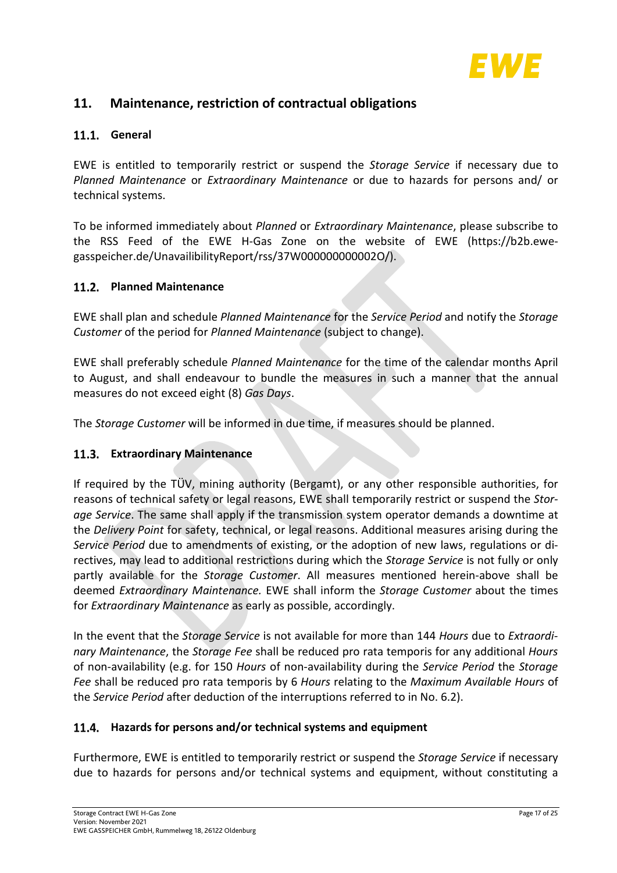

## <span id="page-16-0"></span>**11. Maintenance, restriction of contractual obligations**

## <span id="page-16-1"></span>**General**

EWE is entitled to temporarily restrict or suspend the *Storage Service* if necessary due to *Planned Maintenance* or *Extraordinary Maintenance* or due to hazards for persons and/ or technical systems.

To be informed immediately about *Planned* or *Extraordinary Maintenance*, please subscribe to the RSS Feed of the EWE H-Gas Zone on the website of EWE (https://b2b.ewegasspeicher.de/UnavailibilityReport/rss/37W000000000002O/).

### <span id="page-16-2"></span>**Planned Maintenance**

EWE shall plan and schedule *Planned Maintenance* for the *Service Period* and notify the *Storage Customer* of the period for *Planned Maintenance* (subject to change).

EWE shall preferably schedule *Planned Maintenance* for the time of the calendar months April to August, and shall endeavour to bundle the measures in such a manner that the annual measures do not exceed eight (8) *Gas Days*.

The *Storage Customer* will be informed in due time, if measures should be planned.

## <span id="page-16-3"></span>**Extraordinary Maintenance**

If required by the TÜV, mining authority (Bergamt), or any other responsible authorities, for reasons of technical safety or legal reasons, EWE shall temporarily restrict or suspend the *Storage Service*. The same shall apply if the transmission system operator demands a downtime at the *Delivery Point* for safety, technical, or legal reasons. Additional measures arising during the *Service Period* due to amendments of existing, or the adoption of new laws, regulations or directives, may lead to additional restrictions during which the *Storage Service* is not fully or only partly available for the *Storage Customer*. All measures mentioned herein-above shall be deemed *Extraordinary Maintenance.* EWE shall inform the *Storage Customer* about the times for *Extraordinary Maintenance* as early as possible, accordingly.

In the event that the *Storage Service* is not available for more than 144 *Hours* due to *Extraordinary Maintenance*, the *Storage Fee* shall be reduced pro rata temporis for any additional *Hours*  of non-availability (e.g. for 150 *Hours* of non-availability during the *Service Period* the *Storage Fee* shall be reduced pro rata temporis by 6 *Hours* relating to the *Maximum Available Hours* of the *Service Period* after deduction of the interruptions referred to in No. [6.2\)](#page-11-0).

### <span id="page-16-4"></span>**Hazards for persons and/or technical systems and equipment**

Furthermore, EWE is entitled to temporarily restrict or suspend the *Storage Service* if necessary due to hazards for persons and/or technical systems and equipment, without constituting a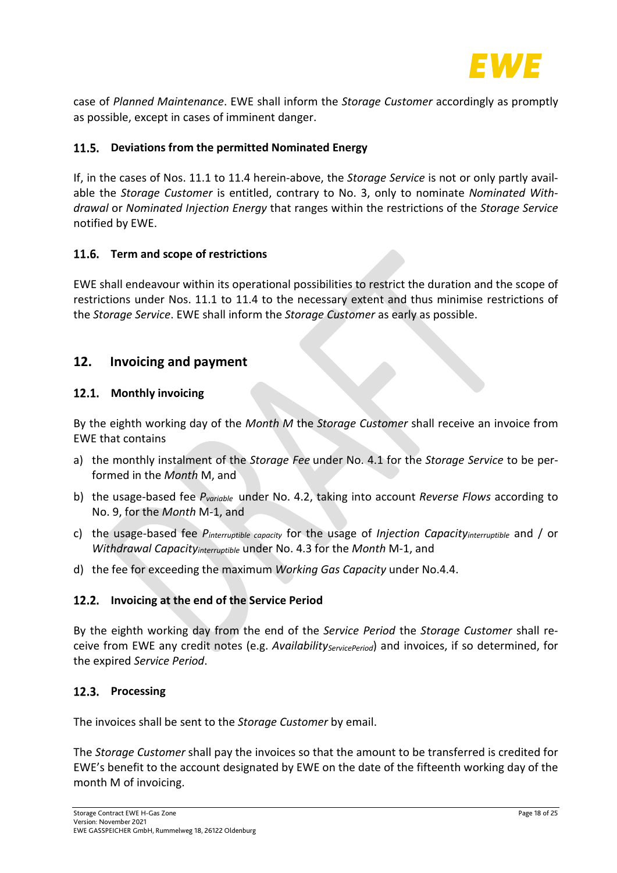

case of *Planned Maintenance*. EWE shall inform the *Storage Customer* accordingly as promptly as possible, except in cases of imminent danger.

## <span id="page-17-0"></span>**Deviations from the permitted Nominated Energy**

If, in the cases of Nos. [11.1](#page-16-1) to [11.4](#page-16-4) herein-above, the *Storage Service* is not or only partly available the *Storage Customer* is entitled, contrary to No. [3,](#page-9-1) only to nominate *Nominated Withdrawal* or *Nominated Injection Energy* that ranges within the restrictions of the *Storage Service* notified by EWE.

### <span id="page-17-1"></span>**Term and scope of restrictions**

EWE shall endeavour within its operational possibilities to restrict the duration and the scope of restrictions under Nos. [11.1](#page-16-1) to [11.4](#page-16-4) to the necessary extent and thus minimise restrictions of the *Storage Service*. EWE shall inform the *Storage Customer* as early as possible.

## <span id="page-17-2"></span>**12. Invoicing and payment**

### <span id="page-17-3"></span>12.1. Monthly invoicing

By the eighth working day of the *Month M* the *Storage Customer* shall receive an invoice from EWE that contains

- a) the monthly instalment of the *Storage Fee* under No. [4.1](#page-9-3) for the *Storage Service* to be performed in the *Month* M, and
- b) the usage-based fee *Pvariable* under No. [4.2,](#page-10-0) taking into account *Reverse Flows* according to No. [9,](#page-15-2) for the *Month* M-1, and
- c) the usage-based fee *Pinterruptible capacity* for the usage of *Injection Capacityinterruptible* and / or *Withdrawal Capacityinterruptible* under No[. 4.3](#page-10-1) for the *Month* M-1, and
- d) the fee for exceeding the maximum *Working Gas Capacity* under No[.4.4.](#page-10-2)

### <span id="page-17-4"></span>**Invoicing at the end of the Service Period**

By the eighth working day from the end of the *Service Period* the *Storage Customer* shall receive from EWE any credit notes (e.g. *Availability<sub>ServicePeriod*) and invoices, if so determined, for</sub> the expired *Service Period*.

### <span id="page-17-5"></span>12.3. Processing

The invoices shall be sent to the *Storage Customer* by email.

The *Storage Customer* shall pay the invoices so that the amount to be transferred is credited for EWE's benefit to the account designated by EWE on the date of the fifteenth working day of the month M of invoicing.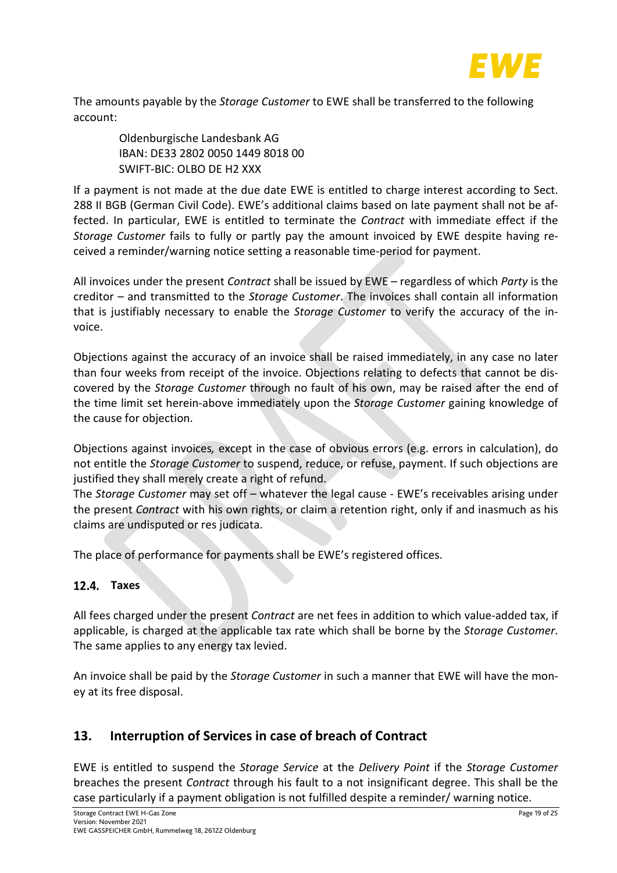

The amounts payable by the *Storage Customer* to EWE shall be transferred to the following account:

Oldenburgische Landesbank AG IBAN: DE33 2802 0050 1449 8018 00 SWIFT-BIC: OLBO DE H2 XXX

If a payment is not made at the due date EWE is entitled to charge interest according to Sect. 288 II BGB (German Civil Code). EWE's additional claims based on late payment shall not be affected. In particular, EWE is entitled to terminate the *Contract* with immediate effect if the *Storage Customer* fails to fully or partly pay the amount invoiced by EWE despite having received a reminder/warning notice setting a reasonable time-period for payment.

All invoices under the present *Contract* shall be issued by EWE – regardless of which *Party* is the creditor – and transmitted to the *Storage Customer*. The invoices shall contain all information that is justifiably necessary to enable the *Storage Customer* to verify the accuracy of the invoice.

Objections against the accuracy of an invoice shall be raised immediately, in any case no later than four weeks from receipt of the invoice. Objections relating to defects that cannot be discovered by the *Storage Customer* through no fault of his own, may be raised after the end of the time limit set herein-above immediately upon the *Storage Customer* gaining knowledge of the cause for objection.

Objections against invoices*,* except in the case of obvious errors (e.g. errors in calculation), do not entitle the *Storage Customer* to suspend, reduce, or refuse, payment. If such objections are justified they shall merely create a right of refund.

The *Storage Customer* may set off – whatever the legal cause - EWE's receivables arising under the present *Contract* with his own rights, or claim a retention right, only if and inasmuch as his claims are undisputed or res judicata.

The place of performance for payments shall be EWE's registered offices.

## <span id="page-18-0"></span>**Taxes**

All fees charged under the present *Contract* are net fees in addition to which value-added tax, if applicable, is charged at the applicable tax rate which shall be borne by the *Storage Customer*. The same applies to any energy tax levied.

An invoice shall be paid by the *Storage Customer* in such a manner that EWE will have the money at its free disposal.

## <span id="page-18-1"></span>**13. Interruption of Services in case of breach of Contract**

EWE is entitled to suspend the *Storage Service* at the *Delivery Point* if the *Storage Customer*  breaches the present *Contract* through his fault to a not insignificant degree. This shall be the case particularly if a payment obligation is not fulfilled despite a reminder/ warning notice.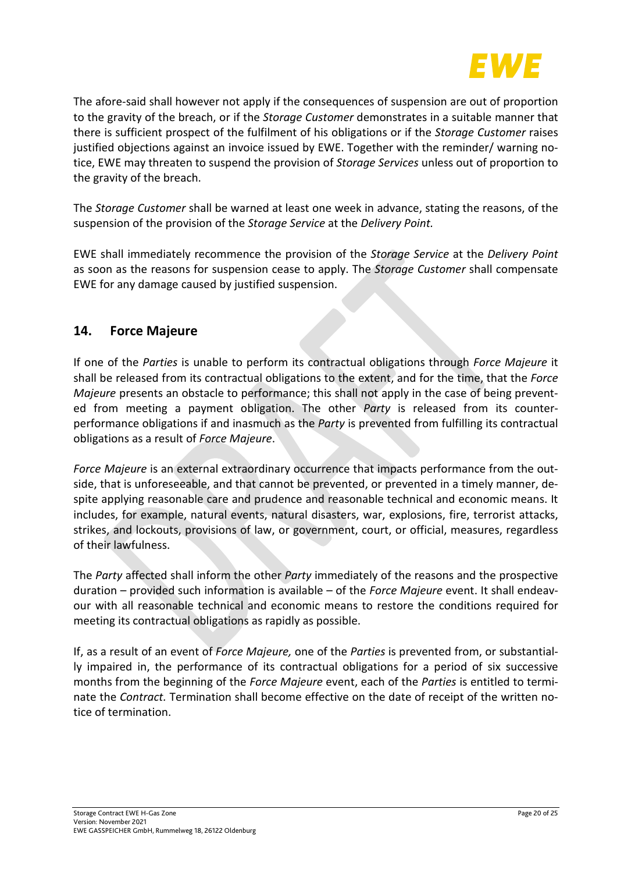

The afore-said shall however not apply if the consequences of suspension are out of proportion to the gravity of the breach, or if the *Storage Customer* demonstrates in a suitable manner that there is sufficient prospect of the fulfilment of his obligations or if the *Storage Customer* raises justified objections against an invoice issued by EWE. Together with the reminder/ warning notice, EWE may threaten to suspend the provision of *Storage Services* unless out of proportion to the gravity of the breach.

The *Storage Customer* shall be warned at least one week in advance, stating the reasons, of the suspension of the provision of the *Storage Service* at the *Delivery Point.*

EWE shall immediately recommence the provision of the *Storage Service* at the *Delivery Point*  as soon as the reasons for suspension cease to apply. The *Storage Customer* shall compensate EWE for any damage caused by justified suspension.

## <span id="page-19-0"></span>**14. Force Majeure**

If one of the *Parties* is unable to perform its contractual obligations through *Force Majeure* it shall be released from its contractual obligations to the extent, and for the time, that the *Force Majeure* presents an obstacle to performance; this shall not apply in the case of being prevented from meeting a payment obligation. The other *Party* is released from its counterperformance obligations if and inasmuch as the *Party* is prevented from fulfilling its contractual obligations as a result of *Force Majeure*.

*Force Majeure* is an external extraordinary occurrence that impacts performance from the outside, that is unforeseeable, and that cannot be prevented, or prevented in a timely manner, despite applying reasonable care and prudence and reasonable technical and economic means. It includes, for example, natural events, natural disasters, war, explosions, fire, terrorist attacks, strikes, and lockouts, provisions of law, or government, court, or official, measures, regardless of their lawfulness.

The *Party* affected shall inform the other *Party* immediately of the reasons and the prospective duration – provided such information is available – of the *Force Majeure* event. It shall endeavour with all reasonable technical and economic means to restore the conditions required for meeting its contractual obligations as rapidly as possible.

If, as a result of an event of *Force Majeure,* one of the *Parties* is prevented from, or substantially impaired in, the performance of its contractual obligations for a period of six successive months from the beginning of the *Force Majeure* event, each of the *Parties* is entitled to terminate the *Contract.* Termination shall become effective on the date of receipt of the written notice of termination.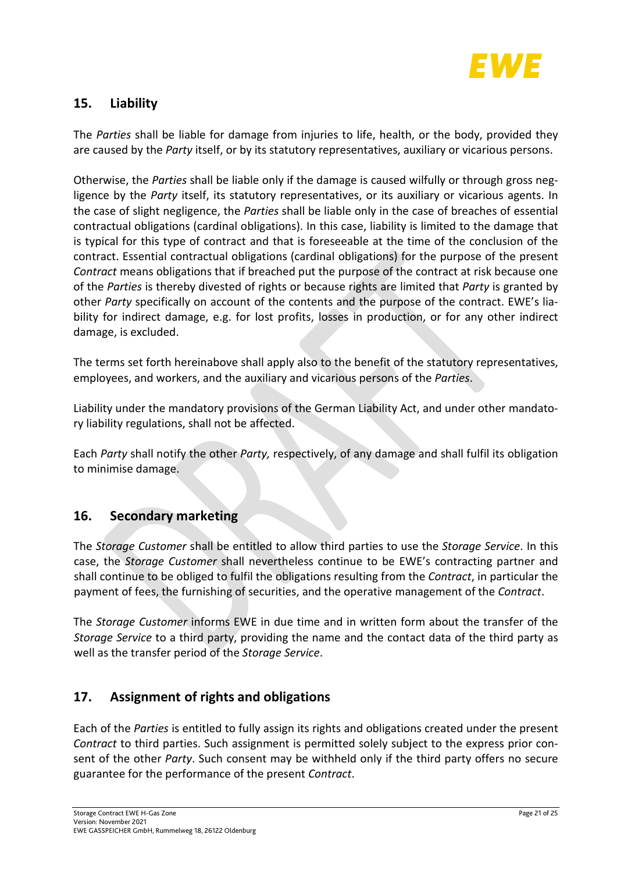

## <span id="page-20-0"></span>**15. Liability**

The *Parties* shall be liable for damage from injuries to life, health, or the body, provided they are caused by the *Party* itself, or by its statutory representatives, auxiliary or vicarious persons.

Otherwise, the *Parties* shall be liable only if the damage is caused wilfully or through gross negligence by the *Party* itself, its statutory representatives, or its auxiliary or vicarious agents. In the case of slight negligence, the *Parties* shall be liable only in the case of breaches of essential contractual obligations (cardinal obligations). In this case, liability is limited to the damage that is typical for this type of contract and that is foreseeable at the time of the conclusion of the contract. Essential contractual obligations (cardinal obligations) for the purpose of the present *Contract* means obligations that if breached put the purpose of the contract at risk because one of the *Parties* is thereby divested of rights or because rights are limited that *Party* is granted by other *Party* specifically on account of the contents and the purpose of the contract. EWE's liability for indirect damage, e.g. for lost profits, losses in production, or for any other indirect damage, is excluded.

The terms set forth hereinabove shall apply also to the benefit of the statutory representatives, employees, and workers, and the auxiliary and vicarious persons of the *Parties*.

Liability under the mandatory provisions of the German Liability Act, and under other mandatory liability regulations, shall not be affected.

Each *Party* shall notify the other *Party,* respectively, of any damage and shall fulfil its obligation to minimise damage.

## <span id="page-20-1"></span>**16. Secondary marketing**

The *Storage Customer* shall be entitled to allow third parties to use the *Storage Service*. In this case, the *Storage Customer* shall nevertheless continue to be EWE's contracting partner and shall continue to be obliged to fulfil the obligations resulting from the *Contract*, in particular the payment of fees, the furnishing of securities, and the operative management of the *Contract*.

The *Storage Customer* informs EWE in due time and in written form about the transfer of the *Storage Service* to a third party, providing the name and the contact data of the third party as well as the transfer period of the *Storage Service*.

## <span id="page-20-2"></span>**17. Assignment of rights and obligations**

Each of the *Parties* is entitled to fully assign its rights and obligations created under the present *Contract* to third parties. Such assignment is permitted solely subject to the express prior consent of the other *Party*. Such consent may be withheld only if the third party offers no secure guarantee for the performance of the present *Contract*.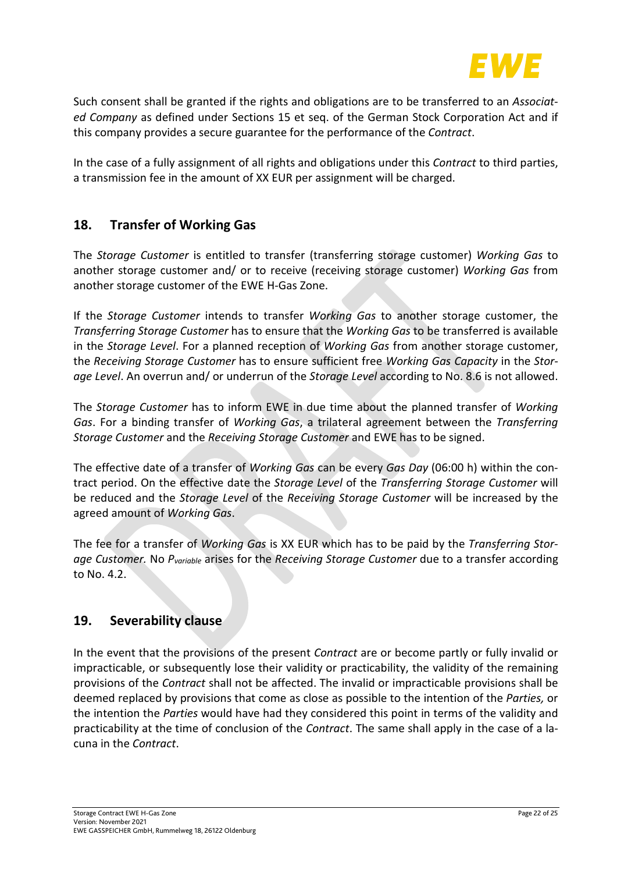

Such consent shall be granted if the rights and obligations are to be transferred to an *Associated Company* as defined under Sections 15 et seq. of the German Stock Corporation Act and if this company provides a secure guarantee for the performance of the *Contract*.

In the case of a fully assignment of all rights and obligations under this *Contract* to third parties, a transmission fee in the amount of XX EUR per assignment will be charged.

## <span id="page-21-0"></span>**18. Transfer of Working Gas**

The *Storage Customer* is entitled to transfer (transferring storage customer) *Working Gas* to another storage customer and/ or to receive (receiving storage customer) *Working Gas* from another storage customer of the EWE H-Gas Zone.

If the *Storage Customer* intends to transfer *Working Gas* to another storage customer, the *Transferring Storage Customer* has to ensure that the *Working Gas* to be transferred is available in the *Storage Level*. For a planned reception of *Working Gas* from another storage customer, the *Receiving Storage Customer* has to ensure sufficient free *Working Gas Capacity* in the *Storage Level*. An overrun and/ or underrun of the *Storage Level* according to No. [8.6](#page-13-1) is not allowed.

The *Storage Customer* has to inform EWE in due time about the planned transfer of *Working Gas*. For a binding transfer of *Working Gas*, a trilateral agreement between the *Transferring Storage Customer* and the *Receiving Storage Customer* and EWE has to be signed.

The effective date of a transfer of *Working Gas* can be every *Gas Day* (06:00 h) within the contract period. On the effective date the *Storage Level* of the *Transferring Storage Customer* will be reduced and the *Storage Level* of the *Receiving Storage Customer* will be increased by the agreed amount of *Working Gas*.

The fee for a transfer of *Working Gas* is XX EUR which has to be paid by the *Transferring Storage Customer.* No *Pvariable* arises for the *Receiving Storage Customer* due to a transfer according to No. [4.2.](#page-10-0)

## <span id="page-21-1"></span>**19. Severability clause**

In the event that the provisions of the present *Contract* are or become partly or fully invalid or impracticable, or subsequently lose their validity or practicability, the validity of the remaining provisions of the *Contract* shall not be affected. The invalid or impracticable provisions shall be deemed replaced by provisions that come as close as possible to the intention of the *Parties,* or the intention the *Parties* would have had they considered this point in terms of the validity and practicability at the time of conclusion of the *Contract*. The same shall apply in the case of a lacuna in the *Contract*.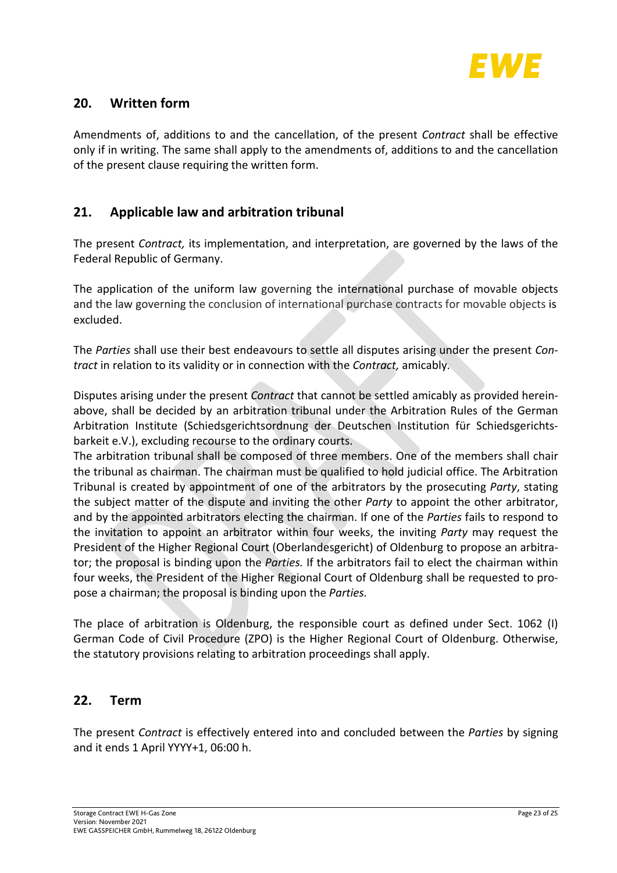

## <span id="page-22-0"></span>**20. Written form**

Amendments of, additions to and the cancellation, of the present *Contract* shall be effective only if in writing. The same shall apply to the amendments of, additions to and the cancellation of the present clause requiring the written form.

## <span id="page-22-1"></span>**21. Applicable law and arbitration tribunal**

The present *Contract,* its implementation, and interpretation, are governed by the laws of the Federal Republic of Germany.

The application of the uniform law governing the international purchase of movable objects and the law governing the conclusion of international purchase contracts for movable objects is excluded.

The *Parties* shall use their best endeavours to settle all disputes arising under the present *Contract* in relation to its validity or in connection with the *Contract,* amicably.

Disputes arising under the present *Contract* that cannot be settled amicably as provided hereinabove, shall be decided by an arbitration tribunal under the Arbitration Rules of the German Arbitration Institute (Schiedsgerichtsordnung der Deutschen Institution für Schiedsgerichtsbarkeit e.V.), excluding recourse to the ordinary courts.

The arbitration tribunal shall be composed of three members. One of the members shall chair the tribunal as chairman. The chairman must be qualified to hold judicial office. The Arbitration Tribunal is created by appointment of one of the arbitrators by the prosecuting *Party*, stating the subject matter of the dispute and inviting the other *Party* to appoint the other arbitrator, and by the appointed arbitrators electing the chairman. If one of the *Parties* fails to respond to the invitation to appoint an arbitrator within four weeks, the inviting *Party* may request the President of the Higher Regional Court (Oberlandesgericht) of Oldenburg to propose an arbitrator; the proposal is binding upon the *Parties.* If the arbitrators fail to elect the chairman within four weeks, the President of the Higher Regional Court of Oldenburg shall be requested to propose a chairman; the proposal is binding upon the *Parties.*

The place of arbitration is Oldenburg, the responsible court as defined under Sect. 1062 (I) German Code of Civil Procedure (ZPO) is the Higher Regional Court of Oldenburg. Otherwise, the statutory provisions relating to arbitration proceedings shall apply.

## <span id="page-22-2"></span>**22. Term**

The present *Contract* is effectively entered into and concluded between the *Parties* by signing and it ends 1 April YYYY+1, 06:00 h.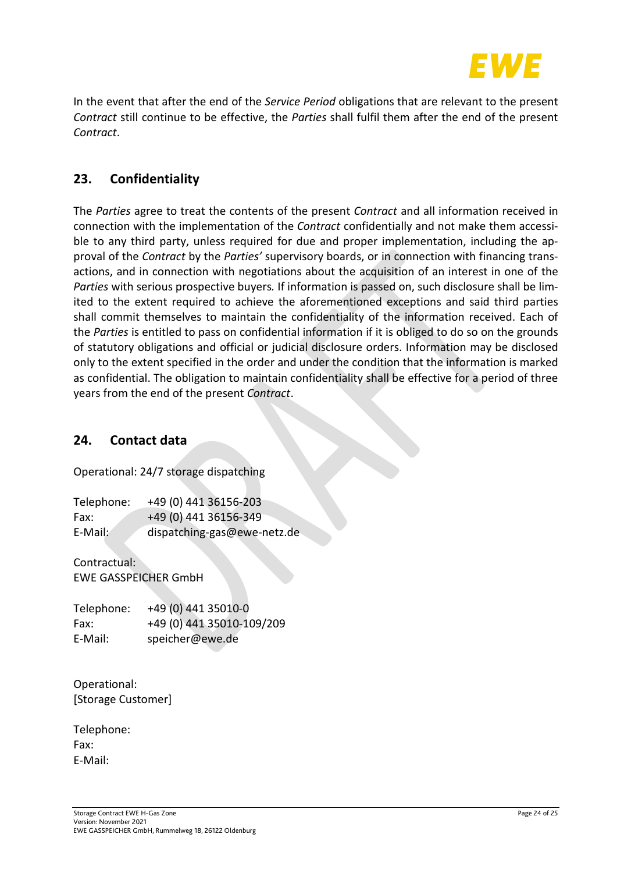

In the event that after the end of the *Service Period* obligations that are relevant to the present *Contract* still continue to be effective, the *Parties* shall fulfil them after the end of the present *Contract*.

## <span id="page-23-0"></span>**23. Confidentiality**

The *Parties* agree to treat the contents of the present *Contract* and all information received in connection with the implementation of the *Contract* confidentially and not make them accessible to any third party, unless required for due and proper implementation, including the approval of the *Contract* by the *Parties'* supervisory boards, or in connection with financing transactions, and in connection with negotiations about the acquisition of an interest in one of the *Parties* with serious prospective buyers*.* If information is passed on, such disclosure shall be limited to the extent required to achieve the aforementioned exceptions and said third parties shall commit themselves to maintain the confidentiality of the information received. Each of the *Parties* is entitled to pass on confidential information if it is obliged to do so on the grounds of statutory obligations and official or judicial disclosure orders. Information may be disclosed only to the extent specified in the order and under the condition that the information is marked as confidential. The obligation to maintain confidentiality shall be effective for a period of three years from the end of the present *Contract*.

## <span id="page-23-1"></span>**24. Contact data**

Operational: 24/7 storage dispatching

| Telephone: | +49 (0) 441 36156-203       |
|------------|-----------------------------|
| Fax:       | +49 (0) 441 36156-349       |
| E-Mail:    | dispatching-gas@ewe-netz.de |

Contractual: EWE GASSPEICHER GmbH

| Telephone: | +49 (0) 441 35010-0       |
|------------|---------------------------|
| Fax:       | +49 (0) 441 35010-109/209 |
| E-Mail:    | speicher@ewe.de           |

Operational: [Storage Customer]

Telephone: Fax: E-Mail: